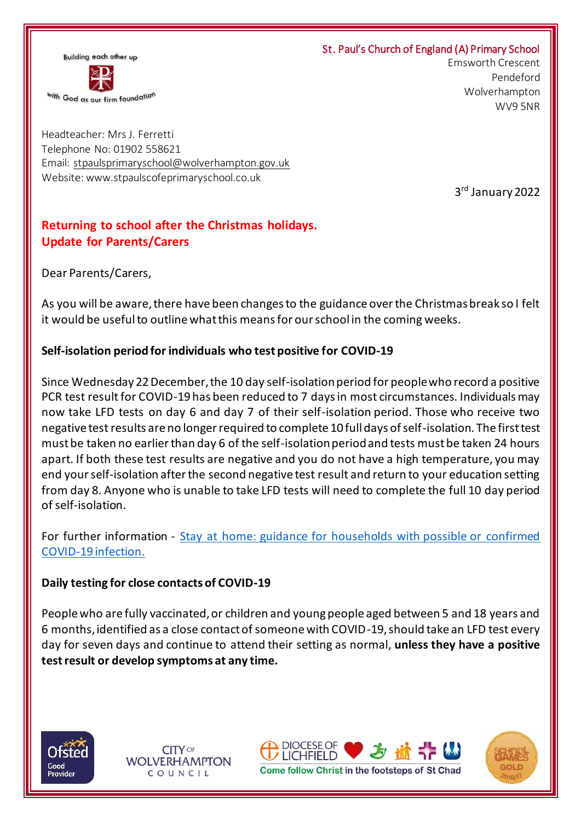#### St. Paul's Church of England (A) Primary School



 Emsworth Crescent Pendeford Wolverhampton WV9 5NR

Headteacher: Mrs J. Ferretti Telephone No: 01902 558621 Email: [stpaulsprimaryschool@wolverhampton.gov.uk](mailto:stpaulsprimaryschool@wolverhampton.gov.uk) Website: www.stpaulscofeprimaryschool.co.uk

3 rd January 2022

# **Returning to school after the Christmas holidays. Update for Parents/Carers**

Dear Parents/Carers,

As you will be aware, there have been changes to the guidance over the Christmas break so I felt it would be useful to outline what this means for our school in the coming weeks.

## **Self-isolation period for individuals who test positive for COVID-19**

Since Wednesday 22 December, the 10 day self-isolation period for people who record a positive PCR test result for COVID-19 has been reduced to 7 days in most circumstances. Individuals may now take LFD tests on day 6 and day 7 of their self-isolation period. Those who receive two negative test results are no longer required to complete 10 full days of self-isolation. The first test must be taken no earlier than day 6 of the self-isolation period and tests must be taken 24 hours apart. If both these test results are negative and you do not have a high temperature, you may end your self-isolation after the second negative test result and return to your education setting from day 8. Anyone who is unable to take LFD tests will need to complete the full 10 day period of self-isolation.

For further information - Stay at home: guidance for households with possible or confirmed [COVID-19 infection.](https://www.gov.uk/government/publications/covid-19-stay-at-home-guidance/stay-at-home-guidance-for-households-with-possible-coronavirus-covid-19-infection?utm_source=2%20January%202022%20C19&utm_medium=Daily%20Email%20C19&utm_campaign=DfE%20C19)

### **Daily testing for close contacts of COVID-19**

People who are fully vaccinated, or children and young people aged between 5 and 18 years and 6 months, identified as a close contact of someone with COVID-19, should take an LFD test every day for seven days and continue to attend their setting as normal, **unless they have a positive test result or develop symptoms at any time.**



**CITY OF WOLVERHAMPTON** COUNCIL